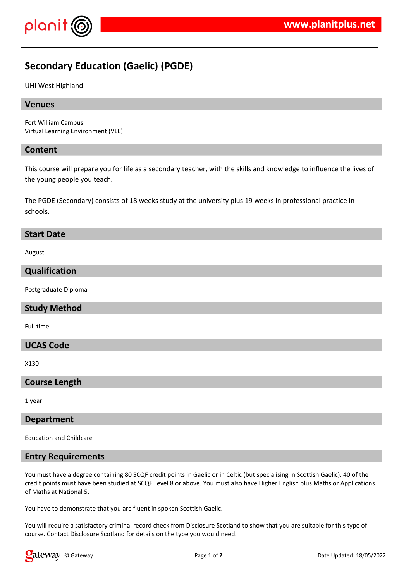

# **Secondary Education (Gaelic) (PGDE)**

UHI West Highland

# **Venues**

Fort William Campus Virtual Learning Environment (VLE)

#### **Content**

This course will prepare you for life as a secondary teacher, with the skills and knowledge to influence the lives of the young people you teach.

The PGDE (Secondary) consists of 18 weeks study at the university plus 19 weeks in professional practice in schools.

#### **Start Date**

August

# **Qualification**

Postgraduate Diploma

# **Study Method**

Full time

# **UCAS Code**

X130

#### **Course Length**

1 year

#### **Department**

Education and Childcare

# **Entry Requirements**

You must have a degree containing 80 SCQF credit points in Gaelic or in Celtic (but specialising in Scottish Gaelic). 40 of the credit points must have been studied at SCQF Level 8 or above. You must also have Higher English plus Maths or Applications of Maths at National 5.

You have to demonstrate that you are fluent in spoken Scottish Gaelic.

You will require a satisfactory criminal record check from Disclosure Scotland to show that you are suitable for this type of course. Contact Disclosure Scotland for details on the type you would need.